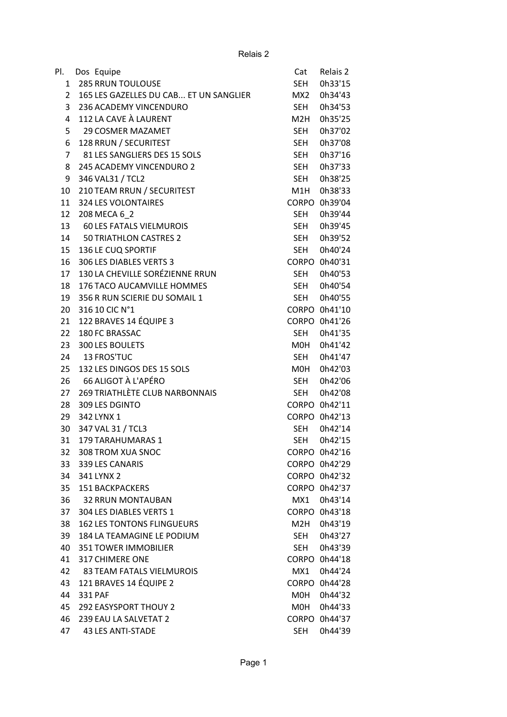| PI.            | Dos Equipe                             | Cat        | Relais 2      |
|----------------|----------------------------------------|------------|---------------|
| $\mathbf{1}$   | <b>285 RRUN TOULOUSE</b>               | SEH        | 0h33'15       |
| $\overline{2}$ | 165 LES GAZELLES DU CAB ET UN SANGLIER | MX2        | 0h34'43       |
| 3              | 236 ACADEMY VINCENDURO                 | <b>SEH</b> | 0h34'53       |
| 4              | 112 LA CAVE À LAURENT                  | M2H        | 0h35'25       |
| 5              | <b>29 COSMER MAZAMET</b>               | <b>SEH</b> | 0h37'02       |
| 6              | 128 RRUN / SECURITEST                  | <b>SEH</b> | 0h37'08       |
| $\overline{7}$ | 81 LES SANGLIERS DES 15 SOLS           | SEH        | 0h37'16       |
| 8              | 245 ACADEMY VINCENDURO 2               | SEH        | 0h37'33       |
| 9              | 346 VAL31 / TCL2                       | SEH        | 0h38'25       |
| 10             | 210 TEAM RRUN / SECURITEST             | M1H        | 0h38'33       |
| 11             | 324 LES VOLONTAIRES                    |            | CORPO 0h39'04 |
| 12             | 208 MECA 6 2                           | SEH        | 0h39'44       |
| 13             | 60 LES FATALS VIELMUROIS               | SEH        | 0h39'45       |
| 14             | 50 TRIATHLON CASTRES 2                 | <b>SEH</b> | 0h39'52       |
| 15             | 136 LE CUQ SPORTIF                     |            | 0h40'24       |
| 16             | 306 LES DIABLES VERTS 3                | SEH        | CORPO 0h40'31 |
|                | 130 LA CHEVILLE SORÉZIENNE RRUN        |            |               |
| 17             |                                        | SEH        | 0h40'53       |
| 18             | 176 TACO AUCAMVILLE HOMMES             | SEH        | 0h40'54       |
| 19             | 356 R RUN SCIERIE DU SOMAIL 1          | SEH        | 0h40'55       |
| 20             | 316 10 CIC N°1                         |            | CORPO 0h41'10 |
| 21             | 122 BRAVES 14 ÉQUIPE 3                 |            | CORPO 0h41'26 |
| 22             | 180 FC BRASSAC                         | SEH        | 0h41'35       |
| 23             | 300 LES BOULETS                        | M0H        | 0h41'42       |
| 24             | 13 FROS'TUC                            | <b>SEH</b> | 0h41'47       |
| 25             | 132 LES DINGOS DES 15 SOLS             | M0H        | 0h42'03       |
| 26             | 66 ALIGOT À L'APÉRO                    | <b>SEH</b> | 0h42'06       |
| 27             | 269 TRIATHLÈTE CLUB NARBONNAIS         | SEH        | 0h42'08       |
| 28             | 309 LES DGINTO                         |            | CORPO 0h42'11 |
| 29             | 342 LYNX 1                             |            | CORPO 0h42'13 |
| 30             | 347 VAL 31 / TCL3                      | <b>SEH</b> | 0h42'14       |
|                | 31 179 TARAHUMARAS 1                   |            | SEH 0h42'15   |
| 32             | 308 TROM XUA SNOC                      |            | CORPO 0h42'16 |
| 33             | 339 LES CANARIS                        |            | CORPO 0h42'29 |
| 34             | 341 LYNX 2                             |            | CORPO 0h42'32 |
| 35             | <b>151 BACKPACKERS</b>                 |            | CORPO 0h42'37 |
| 36             | 32 RRUN MONTAUBAN                      | MX1        | 0h43'14       |
| 37             | 304 LES DIABLES VERTS 1                |            | CORPO 0h43'18 |
| 38             | <b>162 LES TONTONS FLINGUEURS</b>      | M2H        | 0h43'19       |
| 39             | 184 LA TEAMAGINE LE PODIUM             | SEH        | 0h43'27       |
| 40             | <b>351 TOWER IMMOBILIER</b>            | SEH        | 0h43'39       |
| 41             | 317 CHIMERE ONE                        |            | CORPO 0h44'18 |
| 42             | 83 TEAM FATALS VIELMUROIS              | MX1        | 0h44'24       |
| 43             | 121 BRAVES 14 ÉQUIPE 2                 |            | CORPO 0h44'28 |
| 44             | 331 PAF                                | M0H        | 0h44'32       |
| 45             | <b>292 EASYSPORT THOUY 2</b>           | M0H        | 0h44'33       |
| 46             | 239 EAU LA SALVETAT 2                  |            | CORPO 0h44'37 |
| 47             | <b>43 LES ANTI-STADE</b>               | <b>SEH</b> | 0h44'39       |
|                |                                        |            |               |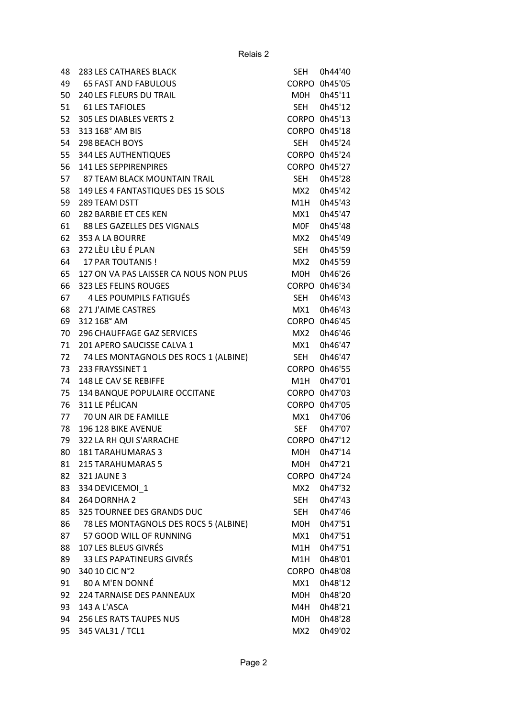| 48 | 283 LES CATHARES BLACK                 | <b>SEH</b>       | 0h44'40       |
|----|----------------------------------------|------------------|---------------|
| 49 | <b>65 FAST AND FABULOUS</b>            |                  | CORPO 0h45'05 |
| 50 | <b>240 LES FLEURS DU TRAIL</b>         | MOH              | 0h45'11       |
| 51 | <b>61 LES TAFIOLES</b>                 | SEH              | 0h45'12       |
| 52 | 305 LES DIABLES VERTS 2                |                  | CORPO 0h45'13 |
| 53 | 313 168° AM BIS                        |                  | CORPO 0h45'18 |
| 54 | 298 BEACH BOYS                         | SEH              | 0h45'24       |
| 55 | <b>344 LES AUTHENTIQUES</b>            |                  | CORPO 0h45'24 |
| 56 | 141 LES SEPPIRENPIRES                  |                  | CORPO 0h45'27 |
| 57 | <b>87 TEAM BLACK MOUNTAIN TRAIL</b>    | SEH              | 0h45'28       |
| 58 | 149 LES 4 FANTASTIQUES DES 15 SOLS     | MX2              | 0h45'42       |
| 59 | 289 TEAM DSTT                          | M1H              | 0h45'43       |
| 60 | 282 BARBIE ET CES KEN                  | MX1              | 0h45'47       |
| 61 | 88 LES GAZELLES DES VIGNALS            | <b>MOF</b>       | 0h45'48       |
| 62 | 353 A LA BOURRE                        | MX2              | 0h45'49       |
| 63 | 272 LÈU LÈU É PLAN                     | SEH              | 0h45'59       |
| 64 | <b>17 PAR TOUTANIS!</b>                | MX2              | 0h45'59       |
| 65 | 127 ON VA PAS LAISSER CA NOUS NON PLUS | M <sub>O</sub> H | 0h46'26       |
| 66 | 323 LES FELINS ROUGES                  |                  | CORPO 0h46'34 |
| 67 | 4 LES POUMPILS FATIGUÉS                | SEH              | 0h46'43       |
| 68 | 271 J'AIME CASTRES                     | MX1              | 0h46'43       |
| 69 | 312 168° AM                            |                  | CORPO 0h46'45 |
| 70 | <b>296 CHAUFFAGE GAZ SERVICES</b>      | MX2              | 0h46'46       |
| 71 | 201 APERO SAUCISSE CALVA 1             | MX1              | 0h46'47       |
| 72 | 74 LES MONTAGNOLS DES ROCS 1 (ALBINE)  | <b>SEH</b>       | 0h46'47       |
| 73 | 233 FRAYSSINET 1                       |                  | CORPO 0h46'55 |
| 74 | 148 LE CAV SE REBIFFE                  | M1H              | 0h47'01       |
| 75 | 134 BANQUE POPULAIRE OCCITANE          |                  | CORPO 0h47'03 |
| 76 | 311 LE PÉLICAN                         |                  | CORPO 0h47'05 |
| 77 | 70 UN AIR DE FAMILLE                   | MX1              | 0h47'06       |
| 78 | 196 128 BIKE AVENUE                    | <b>SEF</b>       | 0h47'07       |
| 79 | 322 LA RH QUI S'ARRACHE                |                  | CORPO 0h47'12 |
| 80 | <b>181 TARAHUMARAS 3</b>               | M0H              | 0h47'14       |
| 81 | 215 TARAHUMARAS 5                      | M0H              | 0h47'21       |
| 82 | 321 JAUNE 3                            |                  | CORPO 0h47'24 |
| 83 | 334 DEVICEMOI 1                        | MX2              | 0h47'32       |
| 84 | 264 DORNHA 2                           | <b>SEH</b>       | 0h47'43       |
| 85 | 325 TOURNEE DES GRANDS DUC             | SEH              | 0h47'46       |
| 86 | 78 LES MONTAGNOLS DES ROCS 5 (ALBINE)  | MOH              | 0h47'51       |
| 87 | 57 GOOD WILL OF RUNNING                | MX1              | 0h47'51       |
|    | 107 LES BLEUS GIVRÉS                   |                  | 0h47'51       |
| 88 | 33 LES PAPATINEURS GIVRÉS              | M1H              |               |
| 89 |                                        | M1H              | 0h48'01       |
| 90 | 340 10 CIC N°2                         |                  | CORPO 0h48'08 |
| 91 | 80 A M'EN DONNÉ                        | MX1              | 0h48'12       |
| 92 | 224 TARNAISE DES PANNEAUX              | MOH              | 0h48'20       |
| 93 | 143 A L'ASCA                           | M4H              | 0h48'21       |
| 94 | 256 LES RATS TAUPES NUS                | M0H              | 0h48'28       |
| 95 | 345 VAL31 / TCL1                       | MX <sub>2</sub>  | 0h49'02       |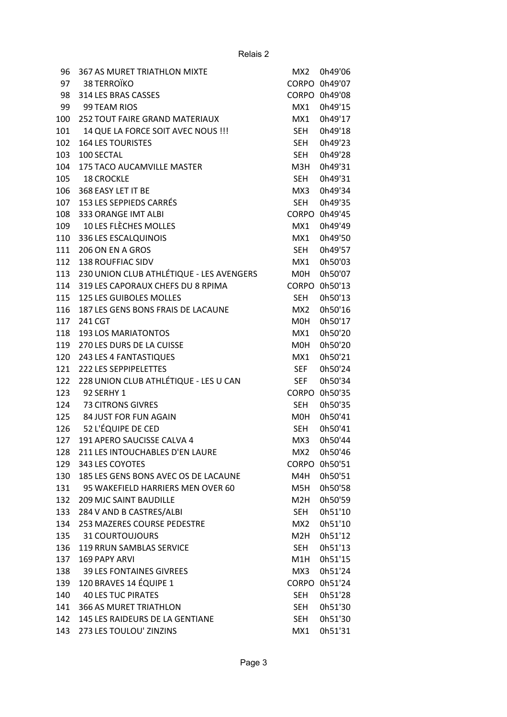| 96  | <b>367 AS MURET TRIATHLON MIXTE</b>      | MX <sub>2</sub>  | 0h49'06 |
|-----|------------------------------------------|------------------|---------|
| 97  | <b>38 TERROÏKO</b>                       | <b>CORPO</b>     | 0h49'07 |
| 98  | 314 LES BRAS CASSES                      | <b>CORPO</b>     | 0h49'08 |
| 99  | 99 TEAM RIOS                             | MX1              | 0h49'15 |
| 100 | 252 TOUT FAIRE GRAND MATERIAUX           | MX1              | 0h49'17 |
| 101 | 14 QUE LA FORCE SOIT AVEC NOUS !!!       | <b>SEH</b>       | 0h49'18 |
| 102 | <b>164 LES TOURISTES</b>                 | <b>SEH</b>       | 0h49'23 |
| 103 | 100 SECTAL                               | <b>SEH</b>       | 0h49'28 |
| 104 | 175 TACO AUCAMVILLE MASTER               | M3H              | 0h49'31 |
| 105 | <b>18 CROCKLE</b>                        | SEH              | 0h49'31 |
| 106 | 368 EASY LET IT BE                       | MX3              | 0h49'34 |
| 107 | 153 LES SEPPIEDS CARRÉS                  | <b>SEH</b>       | 0h49'35 |
| 108 | 333 ORANGE IMT ALBI                      | <b>CORPO</b>     | 0h49'45 |
| 109 | 10 LES FLÈCHES MOLLES                    | MX1              | 0h49'49 |
| 110 | 336 LES ESCALQUINOIS                     | MX1              | 0h49'50 |
| 111 | 206 ON EN A GROS                         | <b>SEH</b>       | 0h49'57 |
| 112 | <b>138 ROUFFIAC SIDV</b>                 | MX1              | 0h50'03 |
| 113 | 230 UNION CLUB ATHLÉTIQUE - LES AVENGERS | M0H              | 0h50'07 |
| 114 | 319 LES CAPORAUX CHEFS DU 8 RPIMA        | <b>CORPO</b>     | 0h50'13 |
| 115 | <b>125 LES GUIBOLES MOLLES</b>           | <b>SEH</b>       | 0h50'13 |
| 116 | 187 LES GENS BONS FRAIS DE LACAUNE       | MX <sub>2</sub>  | 0h50'16 |
| 117 | 241 CGT                                  | M0H              | 0h50'17 |
| 118 | <b>193 LOS MARIATONTOS</b>               | MX1              | 0h50'20 |
| 119 | 270 LES DURS DE LA CUISSE                | <b>MOH</b>       | 0h50'20 |
| 120 | 243 LES 4 FANTASTIQUES                   | MX1              | 0h50'21 |
| 121 | <b>222 LES SEPPIPELETTES</b>             | <b>SEF</b>       | 0h50'24 |
| 122 | 228 UNION CLUB ATHLÉTIQUE - LES U CAN    | <b>SEF</b>       | 0h50'34 |
| 123 | 92 SERHY 1                               | <b>CORPO</b>     | 0h50'35 |
| 124 | <b>73 CITRONS GIVRES</b>                 | <b>SEH</b>       | 0h50'35 |
| 125 | 84 JUST FOR FUN AGAIN                    | M0H              | 0h50'41 |
| 126 | 52 L'ÉQUIPE DE CED                       | <b>SEH</b>       | 0h50'41 |
| 127 | 191 APERO SAUCISSE CALVA 4               | MX3              | 0h50'44 |
| 128 | 211 LES INTOUCHABLES D'EN LAURE          | MX2              | 0h50'46 |
| 129 | 343 LES COYOTES                          | <b>CORPO</b>     | 0h50'51 |
| 130 | 185 LES GENS BONS AVEC OS DE LACAUNE     | M4H              | 0h50'51 |
| 131 | 95 WAKEFIELD HARRIERS MEN OVER 60        | M5H              | 0h50'58 |
| 132 | <b>209 MJC SAINT BAUDILLE</b>            | M <sub>2</sub> H | 0h50'59 |
| 133 | 284 V AND B CASTRES/ALBI                 | SEH              | 0h51'10 |
| 134 | 253 MAZERES COURSE PEDESTRE              | MX <sub>2</sub>  | 0h51'10 |
| 135 | <b>31 COURTOUJOURS</b>                   | M2H              | 0h51'12 |
| 136 | 119 RRUN SAMBLAS SERVICE                 | SEH              | 0h51'13 |
| 137 | <b>169 PAPY ARVI</b>                     | M1H              | 0h51'15 |
| 138 | <b>39 LES FONTAINES GIVREES</b>          | MX3              | 0h51'24 |
| 139 | 120 BRAVES 14 ÉQUIPE 1                   | <b>CORPO</b>     | 0h51'24 |
| 140 | <b>40 LES TUC PIRATES</b>                | <b>SEH</b>       | 0h51'28 |
| 141 | <b>366 AS MURET TRIATHLON</b>            | <b>SEH</b>       | 0h51'30 |
| 142 | 145 LES RAIDEURS DE LA GENTIANE          | <b>SEH</b>       | 0h51'30 |
| 143 | 273 LES TOULOU' ZINZINS                  | MX1              | 0h51'31 |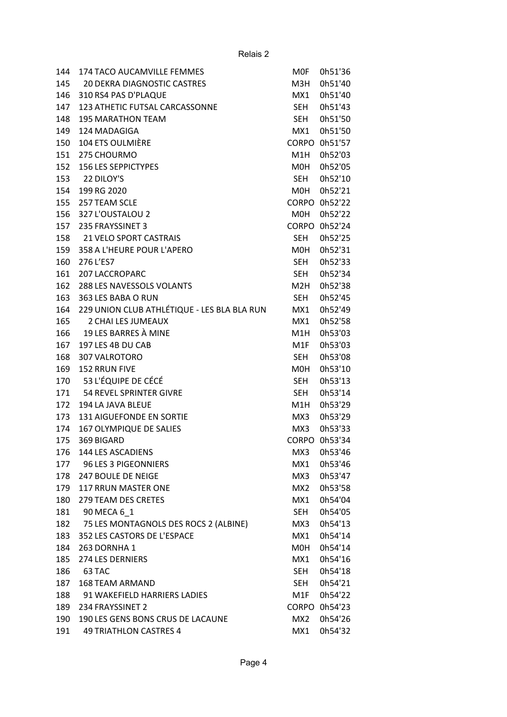| 144 | <b>174 TACO AUCAMVILLE FEMMES</b>           | <b>MOF</b>      | 0h51'36       |
|-----|---------------------------------------------|-----------------|---------------|
| 145 | <b>20 DEKRA DIAGNOSTIC CASTRES</b>          | M3H             | 0h51'40       |
| 146 | 310 RS4 PAS D'PLAQUE                        | MX1             | 0h51'40       |
| 147 | 123 ATHETIC FUTSAL CARCASSONNE              | <b>SEH</b>      | 0h51'43       |
| 148 | <b>195 MARATHON TEAM</b>                    | <b>SEH</b>      | 0h51'50       |
| 149 | 124 MADAGIGA                                | MX1             | 0h51'50       |
| 150 | 104 ETS OULMIÈRE                            | <b>CORPO</b>    | 0h51'57       |
| 151 | 275 CHOURMO                                 | M1H             | 0h52'03       |
| 152 | <b>156 LES SEPPICTYPES</b>                  | M0H             | 0h52'05       |
| 153 | 22 DILOY'S                                  | <b>SEH</b>      | 0h52'10       |
| 154 | 199 RG 2020                                 | M0H             | 0h52'21       |
| 155 | 257 TEAM SCLE                               | <b>CORPO</b>    | 0h52'22       |
| 156 | 327 L'OUSTALOU 2                            | M0H             | 0h52'22       |
| 157 | 235 FRAYSSINET 3                            | <b>CORPO</b>    | 0h52'24       |
| 158 | <b>21 VELO SPORT CASTRAIS</b>               | <b>SEH</b>      | 0h52'25       |
| 159 | 358 A L'HEURE POUR L'APERO                  | M0H             | 0h52'31       |
| 160 | 276 L'ES7                                   | SEH             | 0h52'33       |
| 161 | <b>207 LACCROPARC</b>                       | SEH             | 0h52'34       |
| 162 | 288 LES NAVESSOLS VOLANTS                   | M2H             | 0h52'38       |
| 163 | 363 LES BABA O RUN                          | SEH             | 0h52'45       |
| 164 | 229 UNION CLUB ATHLÉTIQUE - LES BLA BLA RUN | MX1             | 0h52'49       |
| 165 | 2 CHAI LES JUMEAUX                          | MX1             | 0h52'58       |
| 166 | 19 LES BARRES À MINE                        | M1H             | 0h53'03       |
| 167 | 197 LES 4B DU CAB                           | M1F             | 0h53'03       |
| 168 | 307 VALROTORO                               | <b>SEH</b>      | 0h53'08       |
| 169 | 152 RRUN FIVE                               | M0H             | 0h53'10       |
| 170 | 53 L'ÉQUIPE DE CÉCÉ                         | SEH             | 0h53'13       |
| 171 | 54 REVEL SPRINTER GIVRE                     | <b>SEH</b>      | 0h53'14       |
| 172 | 194 LA JAVA BLEUE                           | M1H             | 0h53'29       |
| 173 | 131 AIGUEFONDE EN SORTIE                    | MX3             | 0h53'29       |
| 174 | 167 OLYMPIQUE DE SALIES                     | MX3             | 0h53'33       |
| 175 | 369 BIGARD                                  |                 | CORPO 0h53'34 |
| 176 | 144 LES ASCADIENS                           | MX3             | 0h53'46       |
| 177 | 96 LES 3 PIGEONNIERS                        | MX1             | 0h53'46       |
| 178 | 247 BOULE DE NEIGE                          | MX3             | 0h53'47       |
| 179 | <b>117 RRUN MASTER ONE</b>                  | MX <sub>2</sub> | 0h53'58       |
| 180 | 279 TEAM DES CRETES                         | MX1             | 0h54'04       |
| 181 | 90 MECA 6 1                                 | SEH             | 0h54'05       |
| 182 | 75 LES MONTAGNOLS DES ROCS 2 (ALBINE)       | MX3             | 0h54'13       |
| 183 | 352 LES CASTORS DE L'ESPACE                 | MX1             | 0h54'14       |
| 184 | 263 DORNHA 1                                | M0H             | 0h54'14       |
| 185 | <b>274 LES DERNIERS</b>                     | MX1             | 0h54'16       |
| 186 | 63 TAC                                      | <b>SEH</b>      | 0h54'18       |
| 187 | <b>168 TEAM ARMAND</b>                      | SEH             | 0h54'21       |
| 188 | 91 WAKEFIELD HARRIERS LADIES                | M1F             | 0h54'22       |
| 189 | 234 FRAYSSINET 2                            | <b>CORPO</b>    | 0h54'23       |
| 190 | 190 LES GENS BONS CRUS DE LACAUNE           | MX2             | 0h54'26       |
| 191 | 49 TRIATHLON CASTRES 4                      | MX1             | 0h54'32       |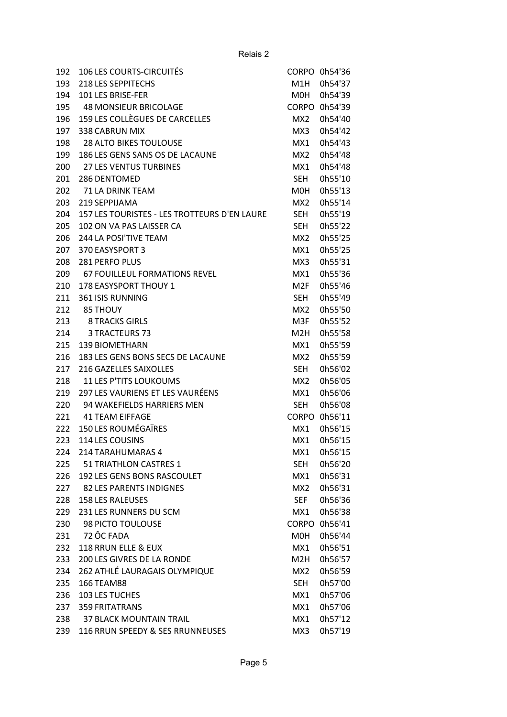| 192 | <b>106 LES COURTS-CIRCUITÉS</b>              |                  | CORPO 0h54'36 |
|-----|----------------------------------------------|------------------|---------------|
| 193 | <b>218 LES SEPPITECHS</b>                    | M1H              | 0h54'37       |
| 194 | 101 LES BRISE-FER                            | M0H              | 0h54'39       |
| 195 | 48 MONSIEUR BRICOLAGE                        |                  | CORPO 0h54'39 |
| 196 | 159 LES COLLÈGUES DE CARCELLES               | MX <sub>2</sub>  | 0h54'40       |
| 197 | 338 CABRUN MIX                               | MX3              | 0h54'42       |
| 198 | <b>28 ALTO BIKES TOULOUSE</b>                | MX1              | 0h54'43       |
| 199 | 186 LES GENS SANS OS DE LACAUNE              | MX2              | 0h54'48       |
| 200 | <b>27 LES VENTUS TURBINES</b>                | MX1              | 0h54'48       |
| 201 | 286 DENTOMED                                 | <b>SEH</b>       | 0h55'10       |
| 202 | 71 LA DRINK TEAM                             | M <sub>O</sub> H | 0h55'13       |
| 203 | 219 SEPPIJAMA                                | MX <sub>2</sub>  | 0h55'14       |
| 204 | 157 LES TOURISTES - LES TROTTEURS D'EN LAURE | <b>SEH</b>       | 0h55'19       |
| 205 | 102 ON VA PAS LAISSER CA                     | <b>SEH</b>       | 0h55'22       |
| 206 | 244 LA POSI'TIVE TEAM                        | MX <sub>2</sub>  | 0h55'25       |
| 207 | 370 EASYSPORT 3                              | MX1              | 0h55'25       |
| 208 | <b>281 PERFO PLUS</b>                        | MX3              | 0h55'31       |
| 209 | <b>67 FOUILLEUL FORMATIONS REVEL</b>         | MX1              | 0h55'36       |
| 210 | 178 EASYSPORT THOUY 1                        | M <sub>2F</sub>  | 0h55'46       |
| 211 | <b>361 ISIS RUNNING</b>                      | <b>SEH</b>       | 0h55'49       |
| 212 | <b>85 THOUY</b>                              | MX <sub>2</sub>  | 0h55'50       |
| 213 | <b>8 TRACKS GIRLS</b>                        | M3F              | 0h55'52       |
| 214 | 3 TRACTEURS 73                               | M <sub>2</sub> H | 0h55'58       |
| 215 | <b>139 BIOMETHARN</b>                        | MX1              | 0h55'59       |
| 216 | 183 LES GENS BONS SECS DE LACAUNE            | MX2              | 0h55'59       |
| 217 | 216 GAZELLES SAIXOLLES                       | <b>SEH</b>       | 0h56'02       |
| 218 | <b>11 LES P'TITS LOUKOUMS</b>                | MX <sub>2</sub>  | 0h56'05       |
| 219 | 297 LES VAURIENS ET LES VAURÉENS             | MX1              | 0h56'06       |
| 220 | 94 WAKEFIELDS HARRIERS MEN                   | <b>SEH</b>       | 0h56'08       |
| 221 | <b>41 TEAM EIFFAGE</b>                       | <b>CORPO</b>     | 0h56'11       |
| 222 | <b>150 LES ROUMÉGAÏRES</b>                   | MX1              | 0h56'15       |
| 223 | 114 LES COUSINS                              | MX1              | 0h56'15       |
| 224 | 214 TARAHUMARAS 4                            | MX1              | 0h56'15       |
| 225 | 51 TRIATHLON CASTRES 1                       | <b>SEH</b>       | 0h56'20       |
| 226 | 192 LES GENS BONS RASCOULET                  | MX1              | 0h56'31       |
| 227 | <b>82 LES PARENTS INDIGNES</b>               | MX2              | 0h56'31       |
| 228 | <b>158 LES RALEUSES</b>                      | SEF              | 0h56'36       |
| 229 | 231 LES RUNNERS DU SCM                       | MX1              | 0h56'38       |
| 230 | 98 PICTO TOULOUSE                            | <b>CORPO</b>     | 0h56'41       |
| 231 | 72 ÔC FADA                                   | M <sub>O</sub> H | 0h56'44       |
| 232 | 118 RRUN ELLE & EUX                          | MX1              | 0h56'51       |
| 233 | 200 LES GIVRES DE LA RONDE                   | M2H              | 0h56'57       |
| 234 | 262 ATHLÉ LAURAGAIS OLYMPIQUE                | MX2              | 0h56'59       |
| 235 | 166 TEAM88                                   | SEH.             | 0h57'00       |
| 236 | 103 LES TUCHES                               | MX1              | 0h57'06       |
| 237 | <b>359 FRITATRANS</b>                        | MX1              | 0h57'06       |
| 238 | <b>37 BLACK MOUNTAIN TRAIL</b>               | MX1              | 0h57'12       |
| 239 | 116 RRUN SPEEDY & SES RRUNNEUSES             | MX3              | 0h57'19       |
|     |                                              |                  |               |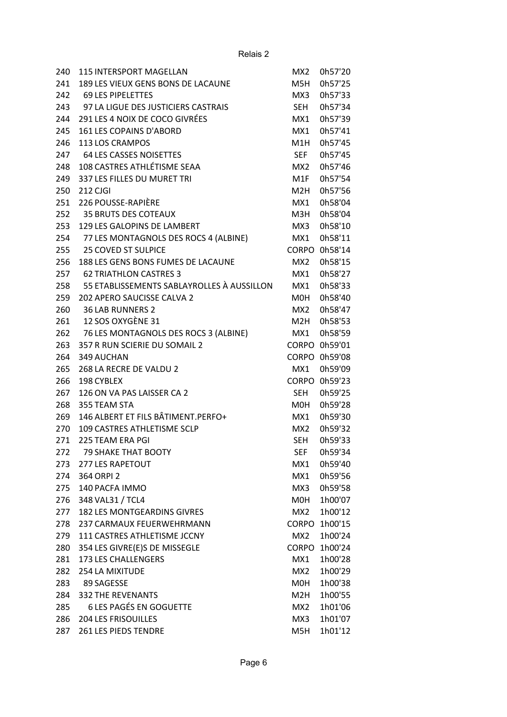| 240 | 115 INTERSPORT MAGELLAN                    | MX <sub>2</sub>  | 0h57'20 |
|-----|--------------------------------------------|------------------|---------|
| 241 | 189 LES VIEUX GENS BONS DE LACAUNE         | M5H              | 0h57'25 |
| 242 | <b>69 LES PIPELETTES</b>                   | MX3              | 0h57'33 |
| 243 | 97 LA LIGUE DES JUSTICIERS CASTRAIS        | SEH              | 0h57'34 |
| 244 | 291 LES 4 NOIX DE COCO GIVRÉES             | MX1              | 0h57'39 |
| 245 | 161 LES COPAINS D'ABORD                    | MX1              | 0h57'41 |
| 246 | 113 LOS CRAMPOS                            | M1H              | 0h57'45 |
| 247 | <b>64 LES CASSES NOISETTES</b>             | <b>SEF</b>       | 0h57'45 |
| 248 | 108 CASTRES ATHLÉTISME SEAA                | MX <sub>2</sub>  | 0h57'46 |
| 249 | 337 LES FILLES DU MURET TRI                | M1F              | 0h57'54 |
| 250 | 212 CJGI                                   | M <sub>2</sub> H | 0h57'56 |
| 251 | 226 POUSSE-RAPIÈRE                         | MX1              | 0h58'04 |
| 252 | <b>35 BRUTS DES COTEAUX</b>                | M3H              | 0h58'04 |
| 253 | 129 LES GALOPINS DE LAMBERT                | MX3              | 0h58'10 |
| 254 | 77 LES MONTAGNOLS DES ROCS 4 (ALBINE)      | MX1              | 0h58'11 |
| 255 | <b>25 COVED ST SULPICE</b>                 | <b>CORPO</b>     | 0h58'14 |
| 256 | 188 LES GENS BONS FUMES DE LACAUNE         | MX <sub>2</sub>  | 0h58'15 |
| 257 | <b>62 TRIATHLON CASTRES 3</b>              | MX1              | 0h58'27 |
| 258 | 55 ETABLISSEMENTS SABLAYROLLES À AUSSILLON | MX1              | 0h58'33 |
| 259 | 202 APERO SAUCISSE CALVA 2                 | M0H              | 0h58'40 |
| 260 | <b>36 LAB RUNNERS 2</b>                    | MX <sub>2</sub>  | 0h58'47 |
| 261 | 12 SOS OXYGÈNE 31                          | M2H              | 0h58'53 |
| 262 | 76 LES MONTAGNOLS DES ROCS 3 (ALBINE)      | MX1              | 0h58'59 |
| 263 | 357 R RUN SCIERIE DU SOMAIL 2              | <b>CORPO</b>     | 0h59'01 |
| 264 | 349 AUCHAN                                 | <b>CORPO</b>     | 0h59'08 |
| 265 | 268 LA RECRE DE VALDU 2                    | MX1              | 0h59'09 |
| 266 | 198 CYBLEX                                 | <b>CORPO</b>     | 0h59'23 |
| 267 | 126 ON VA PAS LAISSER CA 2                 | <b>SEH</b>       | 0h59'25 |
| 268 | 355 TEAM STA                               | M0H              | 0h59'28 |
| 269 | 146 ALBERT ET FILS BÂTIMENT.PERFO+         | MX1              | 0h59'30 |
| 270 | 109 CASTRES ATHLETISME SCLP                | MX <sub>2</sub>  | 0h59'32 |
| 271 | 225 TEAM ERA PGI                           | <b>SEH</b>       | 0h59'33 |
| 272 | 79 SHAKE THAT BOOTY                        | SEF              | 0h59'34 |
| 273 | <b>277 LES RAPETOUT</b>                    | MX1              | 0h59'40 |
| 274 | 364 ORPI 2                                 | MX1              | 0h59'56 |
| 275 | 140 PACFA IMMO                             | MX3              | 0h59'58 |
| 276 | 348 VAL31 / TCL4                           | M0H              | 1h00'07 |
| 277 | <b>182 LES MONTGEARDINS GIVRES</b>         | MX <sub>2</sub>  | 1h00'12 |
| 278 | 237 CARMAUX FEUERWEHRMANN                  | <b>CORPO</b>     | 1h00'15 |
| 279 | 111 CASTRES ATHLETISME JCCNY               | MX <sub>2</sub>  | 1h00'24 |
| 280 | 354 LES GIVRE(E)S DE MISSEGLE              | <b>CORPO</b>     | 1h00'24 |
| 281 | <b>173 LES CHALLENGERS</b>                 | MX1              | 1h00'28 |
| 282 | 254 LA MIXITUDE                            | MX2              | 1h00'29 |
| 283 | 89 SAGESSE                                 | M0H              | 1h00'38 |
| 284 | <b>332 THE REVENANTS</b>                   | M2H              | 1h00'55 |
| 285 | <b>6 LES PAGÉS EN GOGUETTE</b>             | MX <sub>2</sub>  | 1h01'06 |
| 286 | <b>204 LES FRISOUILLES</b>                 | MX3              | 1h01'07 |
| 287 | 261 LES PIEDS TENDRE                       | M5H              | 1h01'12 |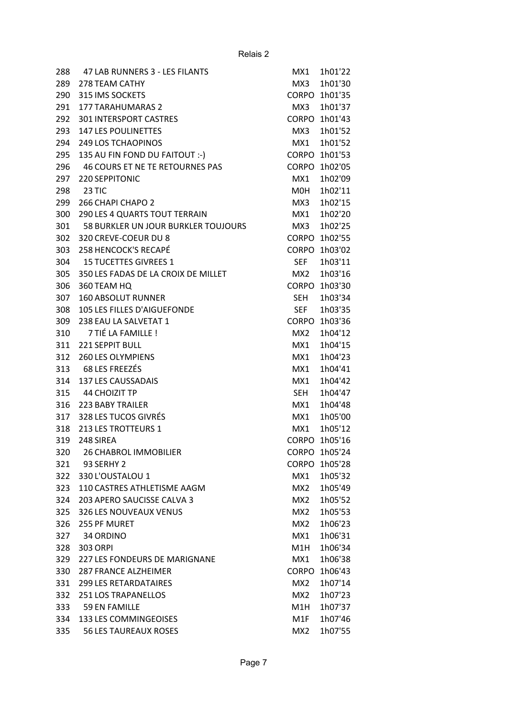| 288 | 47 LAB RUNNERS 3 - LES FILANTS      | MX1             | 1h01'22       |
|-----|-------------------------------------|-----------------|---------------|
| 289 | 278 TEAM CATHY                      | MX3             | 1h01'30       |
| 290 | 315 IMS SOCKETS                     | <b>CORPO</b>    | 1h01'35       |
| 291 | <b>177 TARAHUMARAS 2</b>            | MX3             | 1h01'37       |
| 292 | <b>301 INTERSPORT CASTRES</b>       | <b>CORPO</b>    | 1h01'43       |
| 293 | <b>147 LES POULINETTES</b>          | MX3             | 1h01'52       |
| 294 | <b>249 LOS TCHAOPINOS</b>           | MX1             | 1h01'52       |
| 295 | 135 AU FIN FOND DU FAITOUT :- )     |                 | CORPO 1h01'53 |
| 296 | 46 COURS ET NE TE RETOURNES PAS     | <b>CORPO</b>    | 1h02'05       |
| 297 | 220 SEPPITONIC                      | MX1             | 1h02'09       |
| 298 | 23 TIC                              | M0H             | 1h02'11       |
| 299 | 266 CHAPI CHAPO 2                   | MX3             | 1h02'15       |
| 300 | 290 LES 4 QUARTS TOUT TERRAIN       | MX1             | 1h02'20       |
| 301 | 58 BURKLER UN JOUR BURKLER TOUJOURS | MX3             | 1h02'25       |
| 302 | 320 CREVE-COEUR DU 8                | <b>CORPO</b>    | 1h02'55       |
| 303 | <b>258 HENCOCK'S RECAPÉ</b>         | <b>CORPO</b>    | 1h03'02       |
| 304 | <b>15 TUCETTES GIVREES 1</b>        | <b>SEF</b>      | 1h03'11       |
| 305 | 350 LES FADAS DE LA CROIX DE MILLET | MX2.            | 1h03'16       |
| 306 | 360 TEAM HQ                         | <b>CORPO</b>    | 1h03'30       |
| 307 | <b>160 ABSOLUT RUNNER</b>           | SEH             | 1h03'34       |
| 308 | 105 LES FILLES D'AIGUEFONDE         | <b>SEF</b>      | 1h03'35       |
| 309 | 238 EAU LA SALVETAT 1               | <b>CORPO</b>    | 1h03'36       |
| 310 | 7 TIÉ LA FAMILLE!                   | MX2             | 1h04'12       |
| 311 | <b>221 SEPPIT BULL</b>              | MX1             | 1h04'15       |
| 312 | <b>260 LES OLYMPIENS</b>            | MX1             | 1h04'23       |
| 313 | 68 LES FREEZÉS                      | MX1             | 1h04'41       |
| 314 | <b>137 LES CAUSSADAIS</b>           | MX1             | 1h04'42       |
| 315 | <b>44 CHOIZIT TP</b>                | <b>SEH</b>      | 1h04'47       |
| 316 | 223 BABY TRAILER                    | MX1             | 1h04'48       |
| 317 | 328 LES TUCOS GIVRÉS                | MX1             | 1h05'00       |
| 318 | 213 LES TROTTEURS 1                 | MX1             | 1h05'12       |
| 319 | 248 SIREA                           | <b>CORPO</b>    | 1h05'16       |
| 320 | <b>26 CHABROL IMMOBILIER</b>        |                 | CORPO 1h05'24 |
| 321 | 93 SERHY 2                          | <b>CORPO</b>    | 1h05'28       |
| 322 | 330 L'OUSTALOU 1                    | MX1             | 1h05'32       |
| 323 | 110 CASTRES ATHLETISME AAGM         | MX2             | 1h05'49       |
| 324 | 203 APERO SAUCISSE CALVA 3          | MX2             | 1h05'52       |
| 325 | <b>326 LES NOUVEAUX VENUS</b>       | MX <sub>2</sub> | 1h05'53       |
| 326 | 255 PF MURET                        | MX2             | 1h06'23       |
| 327 | 34 ORDINO                           | MX1             | 1h06'31       |
| 328 | 303 ORPI                            | M1H             | 1h06'34       |
| 329 | 227 LES FONDEURS DE MARIGNANE       | MX1             | 1h06'38       |
| 330 | <b>287 FRANCE ALZHEIMER</b>         | <b>CORPO</b>    | 1h06'43       |
|     |                                     |                 |               |
| 331 | <b>299 LES RETARDATAIRES</b>        | MX2             | 1h07'14       |
| 332 | <b>251 LOS TRAPANELLOS</b>          | MX2             | 1h07'23       |
| 333 | <b>59 EN FAMILLE</b>                | M1H             | 1h07'37       |
| 334 | <b>133 LES COMMINGEOISES</b>        | M1F             | 1h07'46       |
| 335 | <b>56 LES TAUREAUX ROSES</b>        | MX2             | 1h07'55       |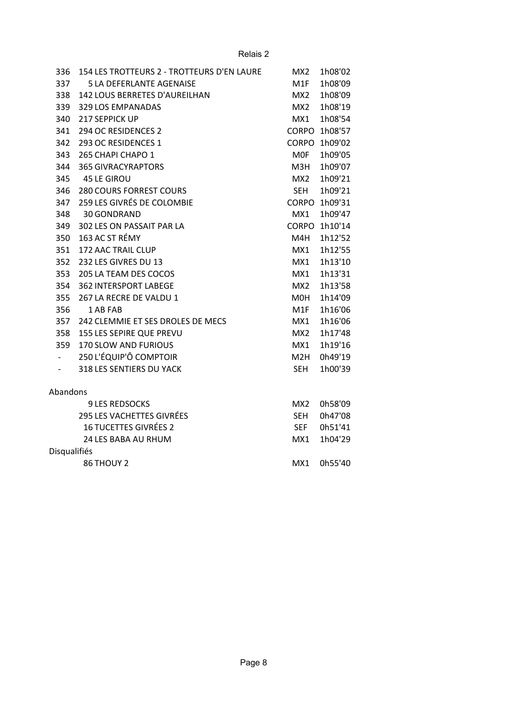| 336                 | 154 LES TROTTEURS 2 - TROTTEURS D'EN LAURE | MX <sub>2</sub>  | 1h08'02       |
|---------------------|--------------------------------------------|------------------|---------------|
| 337                 | <b>5 LA DEFERLANTE AGENAISE</b>            | M1F              | 1h08'09       |
| 338                 | 142 LOUS BERRETES D'AUREILHAN              | MX2              | 1h08'09       |
| 339                 | 329 LOS EMPANADAS                          | MX2              | 1h08'19       |
| 340                 | 217 SEPPICK UP                             | MX1              | 1h08'54       |
| 341                 | 294 OC RESIDENCES 2                        |                  | CORPO 1h08'57 |
| 342                 | 293 OC RESIDENCES 1                        | CORPO            | 1h09'02       |
| 343                 | 265 CHAPI CHAPO 1                          | <b>MOF</b>       | 1h09'05       |
| 344                 | <b>365 GIVRACYRAPTORS</b>                  | M3H              | 1h09'07       |
| 345                 | <b>45 LE GIROU</b>                         | MX2              | 1h09'21       |
| 346                 | <b>280 COURS FORREST COURS</b>             | <b>SEH</b>       | 1h09'21       |
| 347                 | 259 LES GIVRÉS DE COLOMBIE                 | CORPO            | 1h09'31       |
| 348                 | 30 GONDRAND                                | MX1              | 1h09'47       |
| 349                 | 302 LES ON PASSAIT PAR LA                  |                  | CORPO 1h10'14 |
| 350                 | 163 AC ST RÉMY                             | M4H              | 1h12'52       |
| 351                 | 172 AAC TRAIL CLUP                         | MX1              | 1h12'55       |
| 352                 | 232 LES GIVRES DU 13                       | MX1              | 1h13'10       |
| 353                 | 205 LA TEAM DES COCOS                      | MX1              | 1h13'31       |
| 354                 | <b>362 INTERSPORT LABEGE</b>               | MX <sub>2</sub>  | 1h13'58       |
| 355                 | 267 LA RECRE DE VALDU 1                    | M0H              | 1h14'09       |
| 356                 | 1 AB FAB                                   | M1F              | 1h16'06       |
| 357                 | 242 CLEMMIE ET SES DROLES DE MECS          | MX1              | 1h16'06       |
| 358                 | 155 LES SEPIRE QUE PREVU                   | MX2              | 1h17'48       |
| 359                 | 170 SLOW AND FURIOUS                       | MX1              | 1h19'16       |
|                     | 250 L'ÉQUIP'Ô COMPTOIR                     | M <sub>2</sub> H | 0h49'19       |
| $\sim$              | 318 LES SENTIERS DU YACK                   | <b>SEH</b>       | 1h00'39       |
| Abandons            |                                            |                  |               |
|                     | <b>9 LES REDSOCKS</b>                      | MX2              | 0h58'09       |
|                     | <b>295 LES VACHETTES GIVRÉES</b>           | <b>SEH</b>       | 0h47'08       |
|                     | <b>16 TUCETTES GIVRÉES 2</b>               | <b>SEF</b>       | 0h51'41       |
|                     | 24 LES BABA AU RHUM                        | MX1              | 1h04'29       |
| <b>Disqualifiés</b> |                                            |                  |               |
|                     | 86 THOUY 2                                 | MX1              | 0h55'40       |